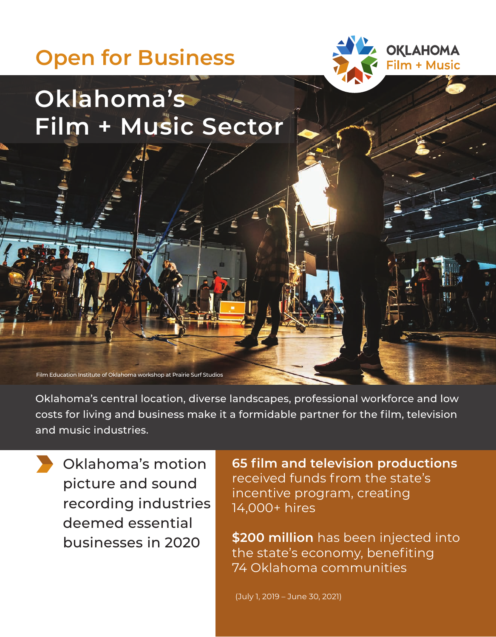## **Open for Business**



## **Oklahoma's Film + Music Sector**

Film Education Institute of Oklahoma workshop at Prairie Surf Studios

Oklahoma's central location, diverse landscapes, professional workforce and low costs for living and business make it a formidable partner for the film, television and music industries.

Oklahoma's motion picture and sound recording industries deemed essential businesses in 2020

**65 flm and television productions**  received funds from the state's incentive program, creating 14,000+ hires

**\$200 million** has been injected into the state's economy, benefiting 74 Oklahoma communities

(July 1, 2019 – June 30, 2021)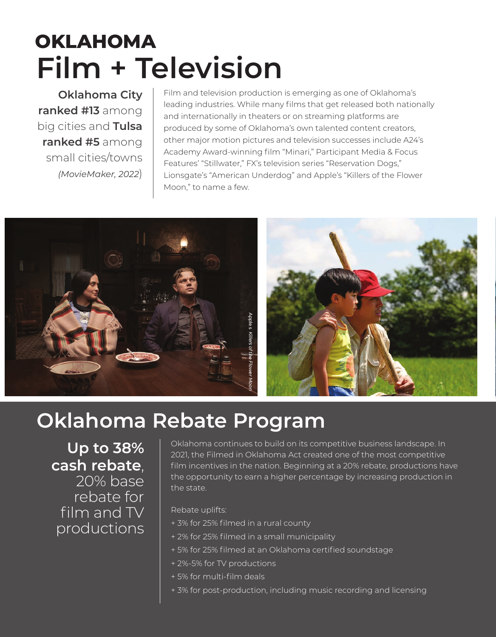# **OKLAHOMA Film + Television**

**Oklahoma City ranked #13** among big cities and **Tulsa ranked #5** among small cities/towns *(MovieMaker, 2022*)

Film and television production is emerging as one of Oklahoma's leading industries. While many films that get released both nationally and internationally in theaters or on streaming platforms are produced by some of Oklahoma's own talented content creators, other major motion pictures and television successes include A24's Academy Award-winning flm "Minari," Participant Media & Focus Features' "Stillwater," FX's television series "Reservation Dogs," Lionsgate's "American Underdog" and Apple's "Killers of the Flower Moon," to name a few.





#### **Oklahoma Rebate Program**

**Up to 38% cash rebate**, 20% base rebate for film and TV productions

Oklahoma continues to build on its competitive business landscape. In 2021, the Filmed in Oklahoma Act created one of the most competitive film incentives in the nation. Beginning at a 20% rebate, productions have the opportunity to earn a higher percentage by increasing production in the state.

Rebate uplifts:

- + 3% for 25% flmed in a rural county
- + 2% for 25% flmed in a small municipality
- + 5% for 25% flmed at an Oklahoma certifed soundstage
- + 2%-5% for TV productions
- + 5% for multi-flm deals
- + 3% for post-production, including music recording and licensing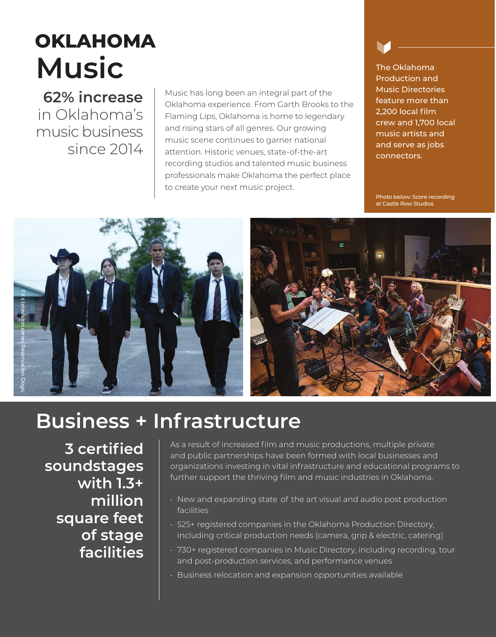# **OKLAHOMA Music**

**62% increase**  in Oklahoma's music business since 2014

Music has long been an integral part of the **Music Directories**<br> **CALL CALL PROPERTY** Oklahoma experience. From Garth Brooks to the Flaming Lips, Oklahoma is home to legendary and **2,200 local film**<br>and rising stars of all genres. Our growing music artists and music scene continues to garner national music scene continues to garner national and serve as jobs attention. Historic venues, state-of-the-art connectors. recording studios and talented music business professionals make Oklahoma the perfect place to create your next music project.

The Oklahoma Production and

Photo below: Score recording at Castle Row Studios





### **Business + Infrastructure**

**3 certifed soundstages with 1.3+ million square feet of stage facilities**  As a result of increased film and music productions, multiple private and public partnerships have been formed with local businesses and organizations investing in vital infrastructure and educational programs to further support the thriving film and music industries in Oklahoma.

- $\cdot$  New and expanding state of the art visual and audio post production facilities
- • 525+ registered companies in the Oklahoma Production Directory, including critical production needs (camera, grip & electric, catering)
- 730+ registered companies in Music Directory, including recording, tour and post-production services, and performance venues
- Business relocation and expansion opportunities available